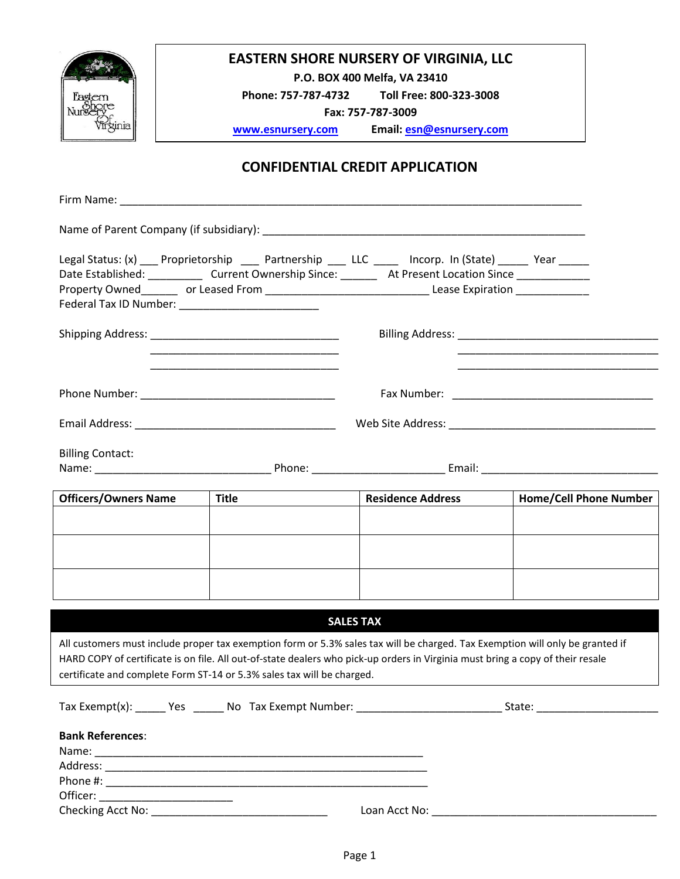

## **EASTERN SHORE NURSERY OF VIRGINIA, LLC**

**P.O. BOX 400 Melfa, VA 23410**

**Phone: 757-787-4732 Toll Free: 800-323-3008**

**Fax: 757-787-3009**

**[www.esnursery.com](http://www.esnursery.com/) Email: [esn@esnursery.com](mailto:esn@esnursery.com)**

## **CONFIDENTIAL CREDIT APPLICATION**

|                                                                                           |              | Legal Status: (x) ____ Proprietorship _____ Partnership _____ LLC ______ Incorp. In (State) ______ Year ______<br>Date Established: ______________ Current Ownership Since: __________ At Present Location Since _______________<br>Property Owned_________ or Leased From __________________________________Lease Expiration ________________ |                               |  |  |
|-------------------------------------------------------------------------------------------|--------------|------------------------------------------------------------------------------------------------------------------------------------------------------------------------------------------------------------------------------------------------------------------------------------------------------------------------------------------------|-------------------------------|--|--|
| the control of the control of the control of the control of the control of the control of |              |                                                                                                                                                                                                                                                                                                                                                |                               |  |  |
|                                                                                           |              |                                                                                                                                                                                                                                                                                                                                                |                               |  |  |
|                                                                                           |              |                                                                                                                                                                                                                                                                                                                                                |                               |  |  |
| <b>Billing Contact:</b>                                                                   |              |                                                                                                                                                                                                                                                                                                                                                |                               |  |  |
| <b>Officers/Owners Name</b>                                                               | <b>Title</b> | <b>Residence Address</b>                                                                                                                                                                                                                                                                                                                       | <b>Home/Cell Phone Number</b> |  |  |
|                                                                                           |              |                                                                                                                                                                                                                                                                                                                                                |                               |  |  |
|                                                                                           |              |                                                                                                                                                                                                                                                                                                                                                |                               |  |  |
|                                                                                           |              |                                                                                                                                                                                                                                                                                                                                                |                               |  |  |
|                                                                                           |              |                                                                                                                                                                                                                                                                                                                                                |                               |  |  |
| certificate and complete Form ST-14 or 5.3% sales tax will be charged.                    |              | <b>SALES TAX</b><br>All customers must include proper tax exemption form or 5.3% sales tax will be charged. Tax Exemption will only be granted if<br>HARD COPY of certificate is on file. All out-of-state dealers who pick-up orders in Virginia must bring a copy of their resale                                                            |                               |  |  |
|                                                                                           |              |                                                                                                                                                                                                                                                                                                                                                |                               |  |  |
| <b>Bank References:</b><br>Officer: ____________________________                          |              |                                                                                                                                                                                                                                                                                                                                                |                               |  |  |